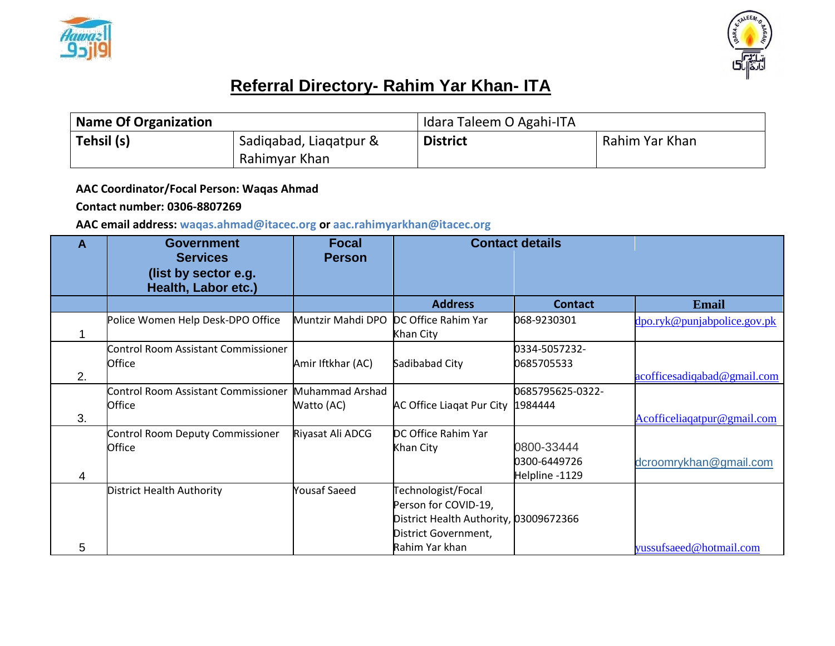



## **Referral Directory- Rahim Yar Khan- ITA**

| <b>Name Of Organization</b> |                                         | Idara Taleem O Agahi-ITA |                |  |
|-----------------------------|-----------------------------------------|--------------------------|----------------|--|
| Tehsil (s)                  | Sadigabad, Liagatpur &<br>Rahimyar Khan | <b>District</b>          | Rahim Yar Khan |  |

## **AAC Coordinator/Focal Person: Waqas Ahmad**

## **Contact number: 0306-8807269**

## **AAC email address: waqas.ahmad@itacec.org or aac.rahimyarkhan@itacec.org**

| Α  | <b>Government</b><br><b>Services</b><br>(list by sector e.g.<br>Health, Labor etc.) | <b>Focal</b><br><b>Person</b> | <b>Contact details</b>                                                                                                         |                                              |                             |
|----|-------------------------------------------------------------------------------------|-------------------------------|--------------------------------------------------------------------------------------------------------------------------------|----------------------------------------------|-----------------------------|
|    |                                                                                     |                               | <b>Address</b>                                                                                                                 | <b>Contact</b>                               | Email                       |
|    | Police Women Help Desk-DPO Office                                                   | Muntzir Mahdi DPO             | DC Office Rahim Yar<br>Khan City                                                                                               | 068-9230301                                  | dpo.ryk@punjabpolice.gov.pk |
| 2. | <b>Control Room Assistant Commissioner</b><br>Office                                | Amir Iftkhar (AC)             | Sadibabad City                                                                                                                 | 0334-5057232-<br>0685705533                  | acofficesadiqabad@gmail.com |
| 3. | Control Room Assistant Commissioner<br>Office                                       | Muhammad Arshad<br>Watto (AC) | AC Office Liagat Pur City                                                                                                      | 0685795625-0322-<br>1984444                  | Acofficeliagatpur@gmail.com |
| 4  | Control Room Deputy Commissioner<br>Office                                          | Riyasat Ali ADCG              | DC Office Rahim Yar<br>Khan City                                                                                               | 0800-33444<br>0300-6449726<br>Helpline -1129 | dcroomrykhan@gmail.com      |
| 5  | <b>District Health Authority</b>                                                    | <b>Yousaf Saeed</b>           | Technologist/Focal<br>Person for COVID-19,<br>District Health Authority, 03009672366<br>District Government,<br>Rahim Yar khan |                                              | yussufsaeed@hotmail.com     |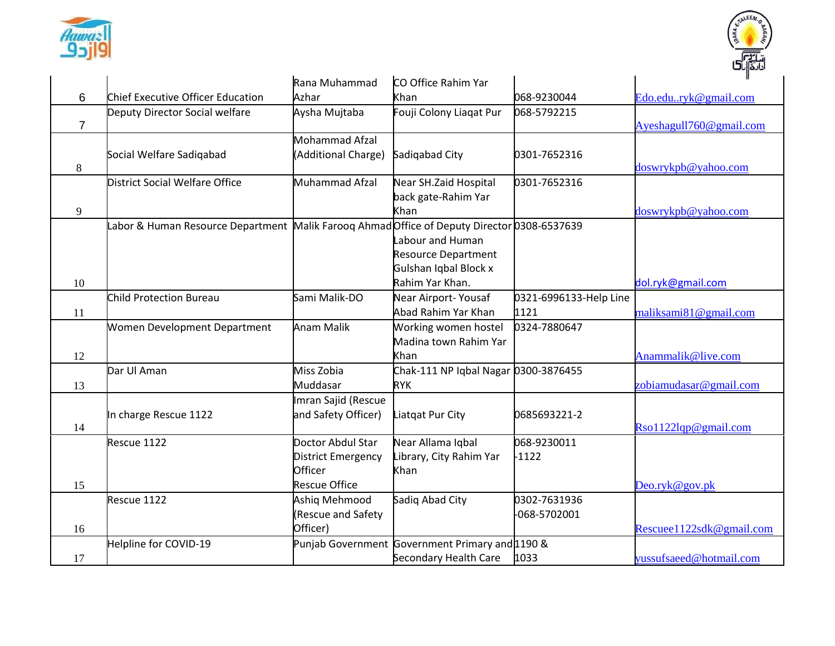



|                |                                                                                            | Rana Muhammad             | CO Office Rahim Yar                             |                        |                          |
|----------------|--------------------------------------------------------------------------------------------|---------------------------|-------------------------------------------------|------------------------|--------------------------|
| 6              | Chief Executive Officer Education                                                          | Azhar                     | Khan                                            | 068-9230044            | Edo.edu.ryk@gmail.com    |
|                | Deputy Director Social welfare                                                             | Aysha Mujtaba             | Fouji Colony Liagat Pur                         | 068-5792215            |                          |
| $\overline{7}$ |                                                                                            |                           |                                                 |                        | Ayeshagull760@gmail.com  |
|                |                                                                                            | <b>Mohammad Afzal</b>     |                                                 |                        |                          |
|                | Social Welfare Sadiqabad                                                                   | (Additional Charge)       | Sadiqabad City                                  | 0301-7652316           |                          |
| 8              |                                                                                            |                           |                                                 |                        | doswrykpb@yahoo.com      |
|                | District Social Welfare Office                                                             | Muhammad Afzal            | Near SH.Zaid Hospital                           | 0301-7652316           |                          |
|                |                                                                                            |                           | back gate-Rahim Yar                             |                        |                          |
| 9              |                                                                                            |                           | Khan                                            |                        | doswrykpb@yahoo.com      |
|                | abor & Human Resource Department Malik Faroog Ahmad Office of Deputy Director 0308-6537639 |                           |                                                 |                        |                          |
|                |                                                                                            |                           | Labour and Human                                |                        |                          |
|                |                                                                                            |                           | <b>Resource Department</b>                      |                        |                          |
|                |                                                                                            |                           | Gulshan Iqbal Block x                           |                        |                          |
| 10             |                                                                                            |                           | Rahim Yar Khan.                                 |                        | dol.ryk@gmail.com        |
|                | <b>Child Protection Bureau</b>                                                             | Sami Malik-DO             | Near Airport-Yousaf                             | 0321-6996133-Help Line |                          |
| 11             |                                                                                            |                           | Abad Rahim Yar Khan                             | 1121                   | maliksami81@gmail.com    |
|                | Women Development Department                                                               | <b>Anam Malik</b>         | Working women hostel                            | 0324-7880647           |                          |
|                |                                                                                            |                           | Madina town Rahim Yar                           |                        |                          |
| 12             |                                                                                            |                           | Khan                                            |                        | Anammalik@live.com       |
|                | Dar Ul Aman                                                                                | Miss Zobia                | Chak-111 NP Iqbal Nagar 0300-3876455            |                        |                          |
| 13             |                                                                                            | Muddasar                  | <b>RYK</b>                                      |                        | zobiamudasar@gmail.com   |
|                |                                                                                            | Imran Sajid (Rescue       |                                                 |                        |                          |
|                | In charge Rescue 1122                                                                      | and Safety Officer)       | Liatgat Pur City                                | 0685693221-2           |                          |
| 14             |                                                                                            |                           |                                                 |                        | $Rso1122$ lqp@gmail.com  |
|                | Rescue 1122                                                                                | Doctor Abdul Star         | Near Allama Iqbal                               | 068-9230011            |                          |
|                |                                                                                            | <b>District Emergency</b> | Library, City Rahim Yar                         | $-1122$                |                          |
|                |                                                                                            | Officer                   | Khan                                            |                        |                          |
| 15             |                                                                                            | <b>Rescue Office</b>      |                                                 |                        | Deo.ryk@gov.pk           |
|                | Rescue 1122                                                                                | Ashiq Mehmood             | Sadiq Abad City                                 | 0302-7631936           |                          |
|                |                                                                                            | (Rescue and Safety        |                                                 | -068-5702001           |                          |
| 16             |                                                                                            | Officer)                  |                                                 |                        | Rescuee1122sdk@gmail.com |
|                | Helpline for COVID-19                                                                      |                           | Punjab Government Government Primary and 1190 & |                        |                          |
| 17             |                                                                                            |                           | Secondary Health Care                           | 1033                   | yussufsaeed@hotmail.com  |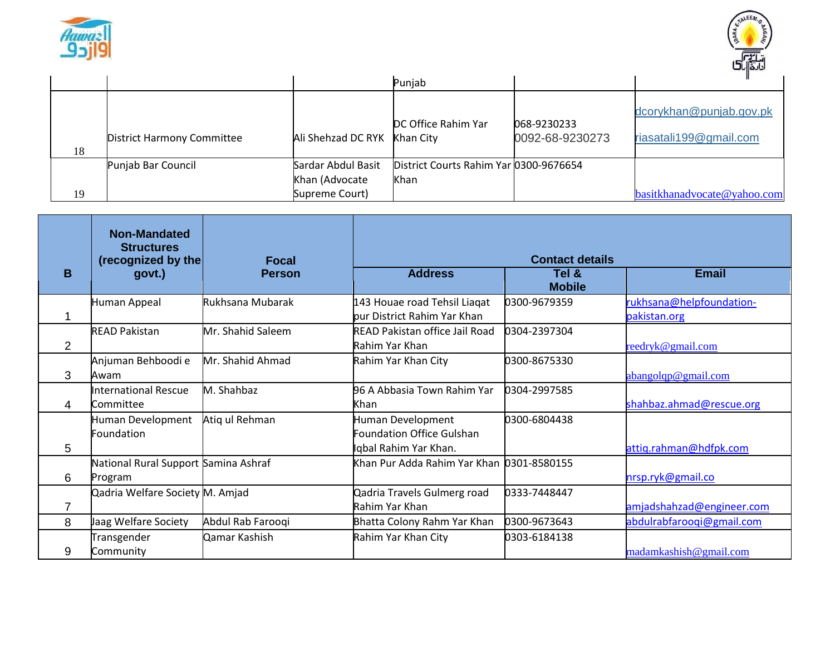



|    |                                   |                                                        | Punjab                                         |                                |                                                   |
|----|-----------------------------------|--------------------------------------------------------|------------------------------------------------|--------------------------------|---------------------------------------------------|
| 18 | <b>District Harmony Committee</b> | Ali Shehzad DC RYK                                     | DC Office Rahim Yar<br>Khan City               | 068-9230233<br>0092-68-9230273 | dcorykhan@punjab.gov.pk<br>riasatali199@gmail.com |
| 19 | Punjab Bar Council                | Sardar Abdul Basit<br>Khan (Advocate<br>Supreme Court) | District Courts Rahim Yar 0300-9676654<br>Khan |                                | basitkhanadvocate@yahoo.com                       |

|   | <b>Non-Mandated</b><br><b>Structures</b><br>(recognized by the | <b>Focal</b>      |                                                                                | <b>Contact details</b> |                                          |
|---|----------------------------------------------------------------|-------------------|--------------------------------------------------------------------------------|------------------------|------------------------------------------|
| B | govt.)                                                         | <b>Person</b>     | <b>Address</b>                                                                 | Tel &<br><b>Mobile</b> | <b>Email</b>                             |
|   | Human Appeal                                                   | Rukhsana Mubarak  | 143 Houae road Tehsil Liaqat<br>pur District Rahim Yar Khan                    | 0300-9679359           | rukhsana@helpfoundation-<br>pakistan.org |
| 2 | <b>READ Pakistan</b>                                           | Mr. Shahid Saleem | READ Pakistan office Jail Road<br>Rahim Yar Khan                               | 0304-2397304           | reedryk@gmail.com                        |
| 3 | Anjuman Behboodi e<br>Awam                                     | Mr. Shahid Ahmad  | Rahim Yar Khan City                                                            | 0300-8675330           | abangolqp@gmail.com                      |
| 4 | <b>International Rescue</b><br>Committee                       | M. Shahbaz        | 96 A Abbasia Town Rahim Yar<br>Khan                                            | 0304-2997585           | shahbaz.ahmad@rescue.org                 |
| 5 | Human Development<br>Foundation                                | Atiq ul Rehman    | Human Development<br><b>Foundation Office Gulshan</b><br>Iqbal Rahim Yar Khan. | 0300-6804438           | attiq.rahman@hdfpk.com                   |
| 6 | National Rural Support Samina Ashraf<br>Program                |                   | Khan Pur Adda Rahim Yar Khan 0301-8580155                                      |                        | nrsp.ryk@gmail.co                        |
| 7 | Qadria Welfare Society M. Amjad                                |                   | Qadria Travels Gulmerg road<br>Rahim Yar Khan                                  | 0333-7448447           | amjadshahzad@engineer.com                |
| 8 | Jaag Welfare Society                                           | Abdul Rab Farooqi | Bhatta Colony Rahm Yar Khan                                                    | 0300-9673643           | abdulrabfaroogi@gmail.com                |
| 9 | Transgender<br>Community                                       | Qamar Kashish     | Rahim Yar Khan City                                                            | 0303-6184138           | madamkashish@gmail.com                   |